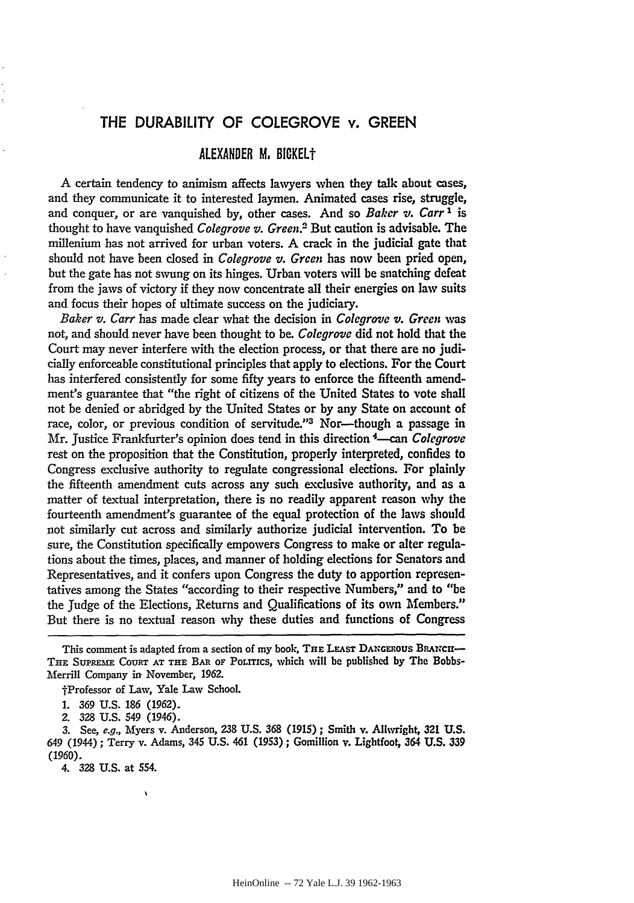## THE DURABILITY OF COLEGROVE v. **GREEN**

## ALEXANDER M. BICKELt

**A** certain tendency to animism affects lawyers when they talk about cases, and they communicate it to interested laymen. Animated cases rise, struggle, and conquer, or are vanquished **by,** other cases. And so Baker v. *Carr I* is thought to have vanquished *Colegrove v. Green.2* But caution is advisable. The millenium has not arrived for urban voters. A crack in the judicial gate that should not have been closed in *Colegrove v. Green* has now been pried open, but the gate has not swung on its hinges. Urban voters will be snatching defeat from the jaws of victory if they now concentrate all their energies on **law** suits and focus their hopes of ultimate success on the judiciary.

*Baker* v. *Carr* has made clear what the decision in *Colegrove v. Green* was not, and should never have been thought to be. *Colcgrovc* did not hold that the Court may never interfere with the election process, or that there are no judicially enforceable constitutional principles that apply to elections. For the Court has interfered consistently for some fifty years to enforce the fifteenth amendment's guarantee that "the right of citizens of the United States to vote shall not be denied or abridged **by** the United States or **by** any State on account of race, color, or previous condition of servitude."<sup>3</sup> Nor-though a passage in Mr. Justice Frankfurter's opinion does tend in this direction <sup>4</sup>—can *Colegrove* rest on the proposition that the Constitution, properly interpreted, confides to Congress exclusive authority to regulate congressional elections. For plainly the fifteenth amendment cuts across any such exclusive authority, and as a matter of textual interpretation, there is no readily apparent reason why the fourteenth amendment's guarantee of the equal protection of the laws should not similarly cut across and similarly authorize judicial intervention. To be sure, the Constitution specifically empowers Congress to make or alter regulations about the times, places, and manner of holding elections for Senators and Representatives, and it confers upon Congress the duty to apportion representatives among the States "according to their respective Numbers," and to "be the Judge of the Elections, Returns and Qualifications of its own Members." But there is no textual reason why these duties and functions of Congress

f-Professor of Law, Yale Law School.

2. **328 U.S.** 549 (1946).

**3.** See, **e.g.,** Myers v. Anderson, **238 U.S. 368 (1915);** Smith v. Allwright, **321 U.S.** 649 **(1944) ;** Terry v. Adams, 345 **U.S.** 461 **(1953) ;** Gomillion v. Lightfoot, 364 **U.S.** *339* **(1960).**

4. **328 U.S.** at 554.

This comment is adapted from a section of my book, THE **LEAST DANGEROUS** BRANCH-**THE SUPREME COURT AT THE** BAR **OF** Porrics, which will be published by The Bobbs-Merrill Company in November, **1962.**

**<sup>1. 369</sup> U.S. 186 (1962).**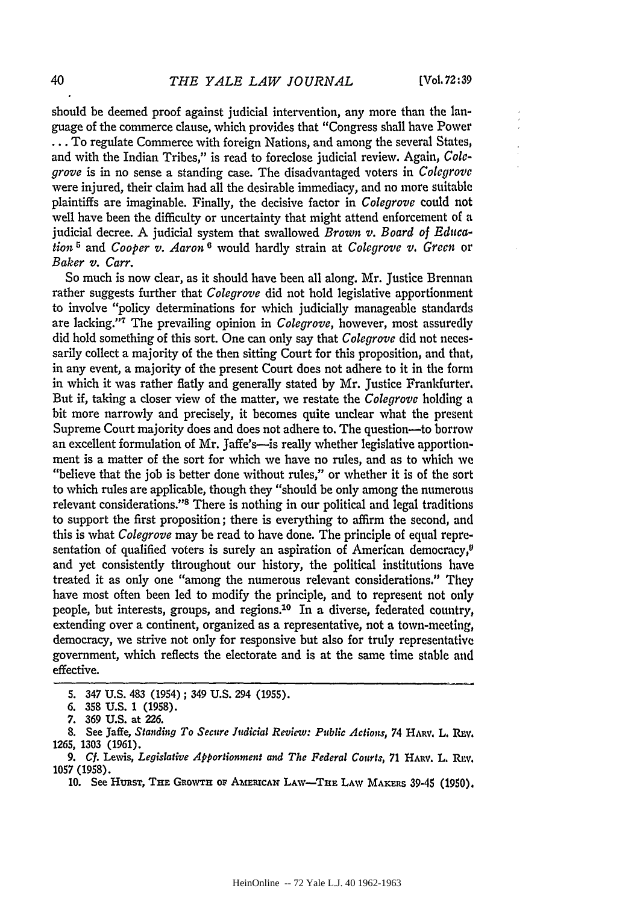should be deemed proof against judicial intervention, any more than the language of the commerce clause, which provides that "Congress shall have Power ... To regulate Commerce with foreign Nations, and among the several States, and with the Indian Tribes," is read to foreclose judicial review. Again, *Colegrove* is in no sense a standing case. The disadvantaged voters in *Colegrove* were injured, their claim had all the desirable immediacy, and no more suitable plaintiffs are imaginable. Finally, the decisive factor in *Colegrove* could not well have been the difficulty or uncertainty that might attend enforcement of a judicial decree. A judicial system that swallowed *Brown v. Board of Education 5* and *Cooper v. Aaron* **1** would hardly strain at *Colegrove v. Grecn* or *Baker v. Carr.*

So much is now clear, as it should have been all along. Mr. Justice Brennan rather suggests further that *Colegrove* did not hold legislative apportionment to involve "policy determinations for which judicially manageable standards are lacking."7 The prevailing opinion in *Colegrove,* however, most assuredly did hold something of this sort. One can only say that *Colegrove* did not necessarily collect a majority of the then sitting Court for this proposition, and that, in any event, a majority of the present Court does not adhere to it in the form in which it was rather flatly and generally stated by Mr. Justice Frankfurter. But if, taking a closer view of the matter, we restate the *Colegrove* holding a bit more narrowly and precisely, it becomes quite unclear what the present Supreme Court majority does and does not adhere to. The question-to borrow an excellent formulation of Mr. Jaffe's-is really whether legislative apportionment is a matter of the sort for which we have no rules, and as to which we "believe that the **job** is better done without rules," or whether it is of the sort to which rules are applicable, though they "should be only among the numerous relevant considerations."<sup>8</sup> There is nothing in our political and legal traditions to support the first proposition; there is everything to affirm the second, and this is what *Colegrove* may be read to have done. The principle of equal representation of qualified voters is surely an aspiration of American democracy,<sup> $\theta$ </sup> and yet consistently throughout our history, the political institutions have treated it as only one "among the numerous relevant considerations." They have most often been led to modify the principle, and to represent not only people, but interests, groups, and regions.10 In a diverse, federated country, extending over a continent, organized as a representative, not a town-meeting, democracy, we strive not only for responsive but also for truly representative government, which reflects the electorate and is at the same time stable and effective.

<sup>5. 347</sup> U.S. 483 (1954); 349 U.S. 294 **(1955).**

**<sup>6. 358</sup> U.S. 1 (1958).**

<sup>7. 369</sup> **U.S.** at **226.**

<sup>8.</sup> See Jaffe, *Standing To Secure Judicial Review: Public Actions*, 74 HARV. L. REV. **1265, 1303 (1961).**

*<sup>9.</sup> Cf.* Lewis, *Legislative Apportionment and The Federal Courts,* **71** HARV. L. Rcv. **1057 (1958).**

<sup>10.</sup> See HURST, THE GROWTH OF AMERICAN LAW-THE LAW MAKERS 39-45 (1950).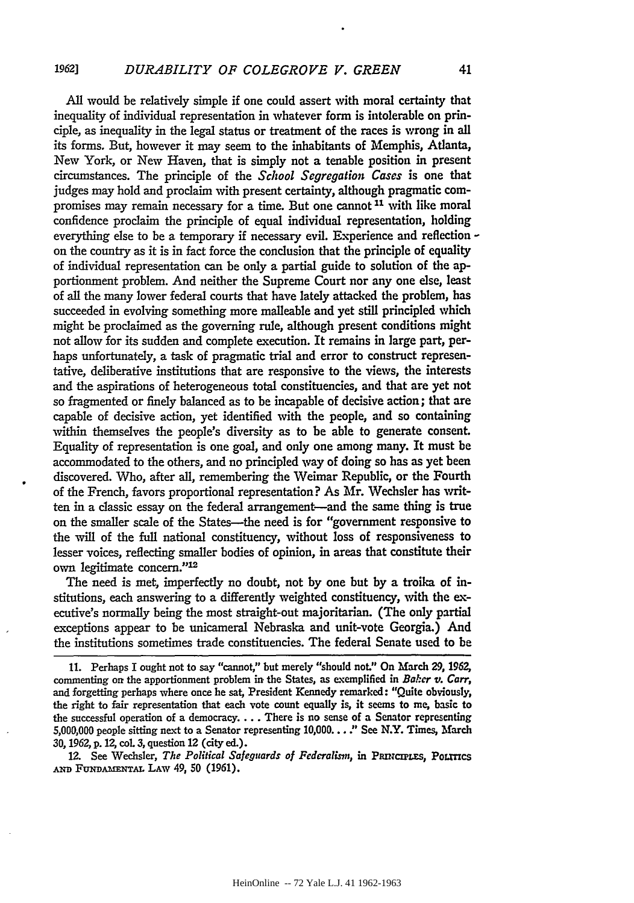**All** would be relatively simple if one could assert with moral certainty that inequality of individual representation in whatever form is intolerable on principle, as inequality in the legal status or treatment of the races is wrong in all its forms. But, however it may seem to the inhabitants of Memphis, Atlanta, New York, or New Haven, that is simply not a tenable position in present circumstances. The principle of the *School Segregation Cases* is one that judges may hold and proclaim with present certainty, although pragmatic compromises may remain necessary for a time. But one cannot <sup>11</sup> with like moral confidence proclaim the principle of equal individual representation, holding everything else to be a temporary if necessary evil. Experience and reflection  on the country as it is in fact force the conclusion that the principle of equality of individual representation can be only a partial guide to solution of the **ap**portionment problem. And neither the Supreme Court nor any one else, least of all the many lower federal courts that have lately attacked the problem, has succeeded in evolving something more malleable and yet still principled which might be proclaimed as the governing rule, although present conditions might not allow for its sudden and complete execution. It remains in large part, perhaps unfortunately, a task of pragmatic trial and error to construct representative, deliberative institutions that are responsive to the views, the interests and the aspirations of heterogeneous total constituencies, and that are yet not so fragmented or finely balanced as to be incapable of decisive action; that are capable of decisive action, yet identified with the people, and so containing within themselves the people's diversity as to be able to generate consent. Equality of representation is one goal, and only one among many. It must be accommodated to the others, and no principled way of doing so has as yet been discovered. Who, after all, remembering the Weimar Republic, or the Fourth of the French, favors proportional representation? As Mr. Wechsler has written in a classic essay on the federal arrangement-and the same thing is true on the smaller scale of the States-the need is for "government responsive to the will of the full national constituency, without loss of responsiveness to lesser voices, reflecting smaller bodies of opinion, in areas that constitute their own legitimate concern."<sup>12</sup>

The need is met, imperfectly no doubt, not **by** one but **by** a troika of institutions, each answering to a differently weighted constituency, with the executive's normally being the most straight-out majoritarian. (The only partial exceptions appear to be unicameral Nebraska and unit-vote Georgia.) And the institutions sometimes trade constituencies. The federal Senate used to be

12. See Wechsler, *The Political Safeguards of Federalism*, in PRINCIPLES, POLITICS *Aw FuxDsrAwx.* **LAw** 49, **50** (1961).

**<sup>11.</sup>** Perhaps I ought not to say "cannot," but merely "should not" **On** March **29, 1962,** commenting on the apportionment problem in the States, as exemplified in Baker v. Carr, and forgetting perhaps where once **he** sat, President Kennedy remarked: "Quite obviously, the right to fair representation that each vote count equally is, it seems to me, basic to the successful operation of a democracy.... There is no sense of a Senator representing 5,000,000 people sitting next to a Senator representing 10,000... **."** See N.Y. Times, March *30,* 1962, **p.** 12, col. **3,** question 12 (city ed.).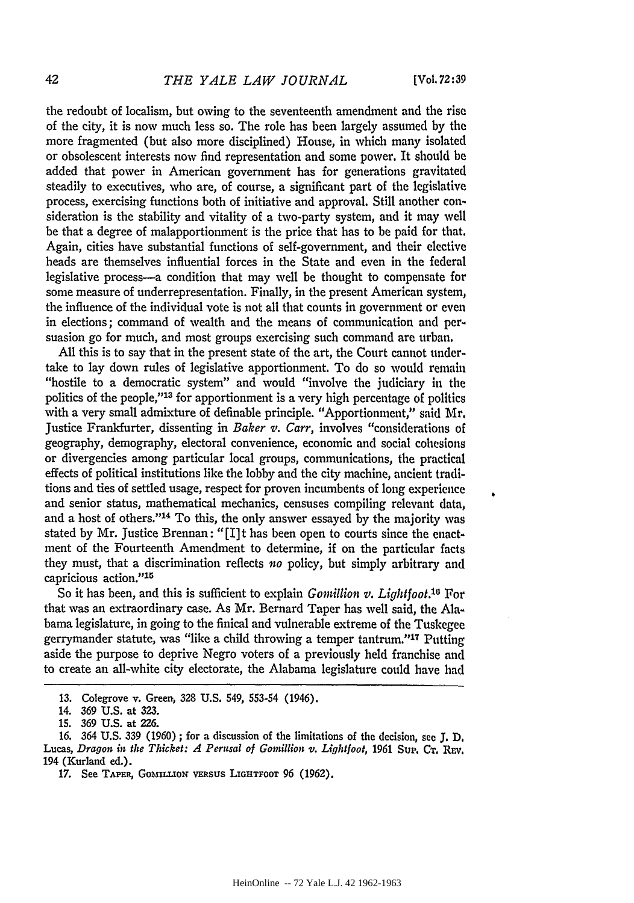the redoubt of localism, but owing to the seventeenth amendment and the rise of the city, it is now much less so. The role has been largely assumed by the more fragmented (but also more disciplined) House, in which many isolated or obsolescent interests now find representation and some power. It should be added that power in American government has for generations gravitated steadily to executives, who are, of course, a significant part of the legislative process, exercising functions both of initiative and approval. Still another consideration is the stability and vitality of a two-party system, and it may well be that a degree of malapportionment is the price that has to be paid for that. Again, cities have substantial functions of self-government, and their elective heads are themselves influential forces in the State and even in the federal legislative process-a condition that may well be thought to compensate for some measure of underrepresentation. Finally, in the present American system, the influence of the individual vote is not all that counts in government or even in elections; command of wealth and the means of communication and persuasion go for much, and most groups exercising such command are urban.

All this is to say that in the present state of the art, the Court cannot undertake to lay down rules of legislative apportionment. To do so would remain "hostile to a democratic system" and would "involve the judiciary in the politics of the people,"<sup>13</sup> for apportionment is a very high percentage of politics with a very small admixture of definable principle. "Apportionment," said Mr. Justice Frankfurter, dissenting in *Baker v,. Carr,* involves "considerations of geography, demography, electoral convenience, economic and social cohesions or divergencies among particular local groups, communications, the practical effects of political institutions like the lobby and the city machine, ancient traditions and ties of settled usage, respect for proven incumbents of long experience and senior status, mathematical mechanics, censuses compiling relevant data, and a host of others."<sup>14</sup> To this, the only answer essayed by the majority was stated **by** Mr. Justice Brennan: "[I] t has been open to courts since the enactment of the Fourteenth Amendment to determine, if on the particular facts they must, that a discrimination reflects *no* policy, but simply arbitrary and capricious action."<sup>15</sup>

So it has been, and this is sufficient to explain *Gornillion v. Lightfoot.10* For that was an extraordinary case. As Mr. Bernard Taper has well said, the **Ala**bama legislature, in going to the finical and vulnerable extreme of the Tuskegee gerrymander statute, was "like a child throwing a temper tantrum." 17 Putting aside the purpose to deprive Negro voters of a previously held franchise and to create an all-white city electorate, the Alabama legislature could have had

16. 364 U.S. 339 (1960); for a discussion of the limitations of the decision, see J. D. Lucas, *Dragon in the Thicket: A Perusal of Gomillion v. Lightfoot, 1961 Sup. Cr. REV.* 194 **(Kurland ed.).**

**<sup>13.</sup>** Colegrove v. **Green, 328** U.S. 549, 553-54 (1946).

<sup>14. 369</sup> U.S. at **323.**

**<sup>15.</sup>** 369 **U.S.** at **226.**

<sup>17.</sup> See TAPER, GOMILLION VERSUS LIGHTFOOT 96 (1962).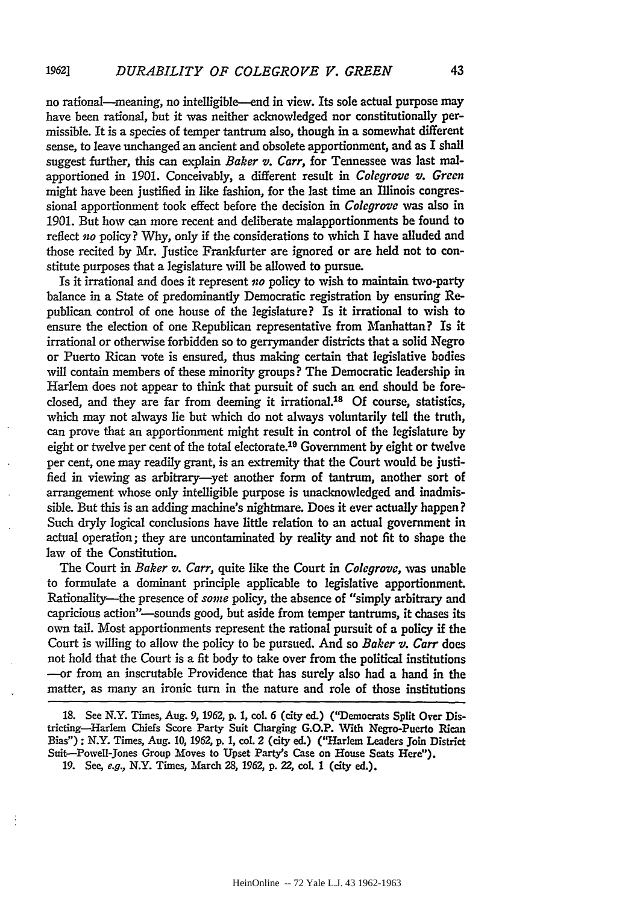no rational-meaning, no intelligible-end in view. Its sole actual purpose may have been rational, but it was neither acknowledged nor constitutionally permissible. It is a species of temper tantrum also, though in a somewhat different sense, to leave unchanged an ancient and obsolete apportionment, and as I shall suggest further, this can explain *Baker v. Carr,* for Tennessee was last malapportioned in 1901. Conceivably, a different result in *Colegrove v. Green* might have been justified in like fashion, for the last time an Illinois congressional apportionment took effect before the decision in *Colcgrove* was also in 1901. But how can more recent and deliberate malapportionments be found to reflect *no* policy? Why, only if the considerations to which I have alluded and those recited **by** Mr. Justice Frankfurter are ignored or are held not to constitute purposes that a legislature will be allowed to pursue.

Is it irrational and does it represent *no* policy to wish to maintain two-party balance in a State of predominantly Democratic registration **by** ensuring Republican control of one house of the legislature? Is it irrational to wish to ensure the election of one Republican representative from Manhattan? Is it irrational or otherwise forbidden so to gerrymander districts that a solid Negro or Puerto Rican vote is ensured, thus making certain that legislative bodies will contain members of these minority groups? The Democratic leadership in Harlem does not appear to think that pursuit of such an end should be foreclosed, and they are far from deeming it irrational.<sup>18</sup> Of course, statistics, which may not always lie but which do not always voluntarily tell the truth, can prove that an apportionment might result in control of the legislature by eight or twelve per cent of the total electorate.<sup>19</sup> Government by eight or twelve per cent, one may readily grant, is an extremity that the Court would be justified in viewing as arbitrary-yet another form of tantrum, another sort of arrangement whose only intelligible purpose is unacknowledged and inadmissible. But this is an adding machine's nightmare. Does it ever actually happen? Such dryly logical conclusions have little relation to an actual government in actual operation; they are uncontaminated by reality and not fit to shape the law of the Constitution.

The Court in *Baker v. Carr,* quite like the Court in *Colegrove,* was unable to formulate a dominant principle applicable to legislative apportionment. Rationality-the presence of *some* policy, the absence of "simply arbitrary and capricious action"--sounds good, but aside from temper tantrums, it chases its own tail. Most apportionments represent the rational pursuit of a policy if the Court is willing to allow the policy to be pursued. And so *Baker v. Carr* does not hold that the Court is a fit body to take over from the political institutions -- or from an inscrutable Providence that has surely also had a hand in the matter, as many an ironic turn in the nature and role of those institutions

**<sup>18.</sup>** See N.Y. Times, Aug. 9, **1962, p.** 1, col. 6 (city ed.) ('Democrats Split Over Districting-Harlem Chiefs Score Party Suit Charging **G.O.P.** With Negro-Puerto Rican Bias"): N.Y. Times, Aug. 10, 1962, **p.** 1, col. 2 (city ed.) ("Harlem Leaders Join District Suit-Powell-Jones Group Moves to Upset Party's Case on House Seats Here").

**<sup>19.</sup>** See, e.g., N.Y. Times, March 28, **1962, p.** 22, col. **1** (city ed.).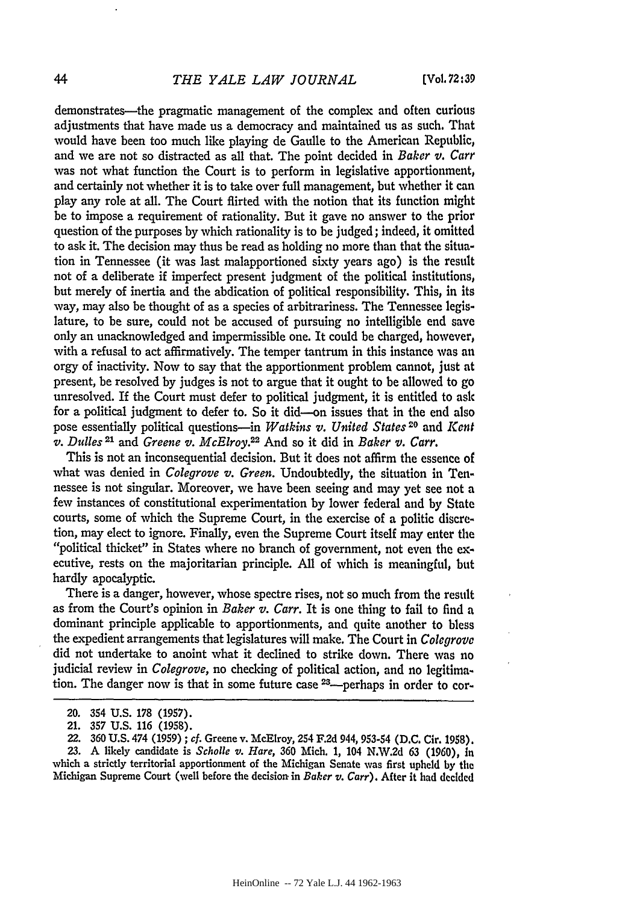demonstrates—the pragmatic management of the complex and often curious adjustments that have made us a democracy and maintained us as such. That would have been too much like playing de Gaulle to the American Republic, and we are not so distracted as all that. The point decided in *Baker v. Carr* was not what function the Court is to perform in legislative apportionment, and certainly not whether it is to take over full management, but whether it can play any role at all. The Court flirted with the notion that its function might be to impose a requirement of rationality. But it gave no answer to the prior question of the purposes by which rationality is to be judged; indeed, it omitted to ask it. The decision may thus be read as holding no more than that the situation in Tennessee (it was last malapportioned sixty years ago) is the result not of a deliberate if imperfect present judgment of the political institutions, but merely of inertia and the abdication of political responsibility. This, in its way, may also be thought of as a species of arbitrariness. The Tennessee legislature, to be sure, could not be accused of pursuing no intelligible end save only an unacknowledged and impermissible one. It could be charged, however, with a refusal to act affirmatively. The temper tantrum in this instance was an orgy of inactivity. Now to say that the apportionment problem cannot, just at present, be resolved by judges is not to argue that it ought to be allowed to go unresolved. If the Court must defer to political judgment, it is entitled to ask for a political judgment to defer to. So it did-on issues that in the end also pose essentially political questions-in *Watkins v. United States 20* and *Kent v. Dulles 2 <sup>1</sup>*and *Greene v. McElroy.22* And so it did in *Baker v. Carr.*

This is not an inconsequential decision. But it does not affirm the essence of what was denied in *Colegrove v. Green.* Undoubtedly, the situation in Tennessee is not singular. Moreover, we have been seeing and may yet see not a few instances of constitutional experimentation by lower federal and by State courts, some of which the Supreme Court, in the exercise of a politic discretion, may elect to ignore. Finally, even the Supreme Court itself may enter the "political thicket" in States where no branch of government, not even the executive, rests on the majoritarian principle. All of which is meaningful, but hardly apocalyptic.

There is a danger, however, whose spectre rises, not so much from the result as from the Court's opinion in *Baker v. Carr.* It is one thing to fail to find a dominant principle applicable to apportionments, and quite another to bless the expedient arrangements that legislatures will make. The Court in *Colegrove* did not undertake to anoint what it declined to strike down. There was no judicial review in *Colegrove*, no checking of political action, and no legitimation. The danger now is that in some future case  $23$ —perhaps in order to cor-

**23. A** likely candidate is *Scholle v. Hare, 360* Mich. 1, 104 N.W.2d **63** (1960), In which a strictly territorial apportionment of the Michigan Senate was first upheld **by the** Michigan Supreme Court (well before the decision in *Baker v. Carr).* After it had decided

<sup>20. 354</sup> U.S. 178 (1957).

<sup>21.</sup> **357** U.S. 116 (1958).

<sup>22. 360</sup> U.S. 474 (1959) ; *ef.* Greene v. McElroy, 254 F.2d 944, **953-54** (D.C. Cir. 1958).